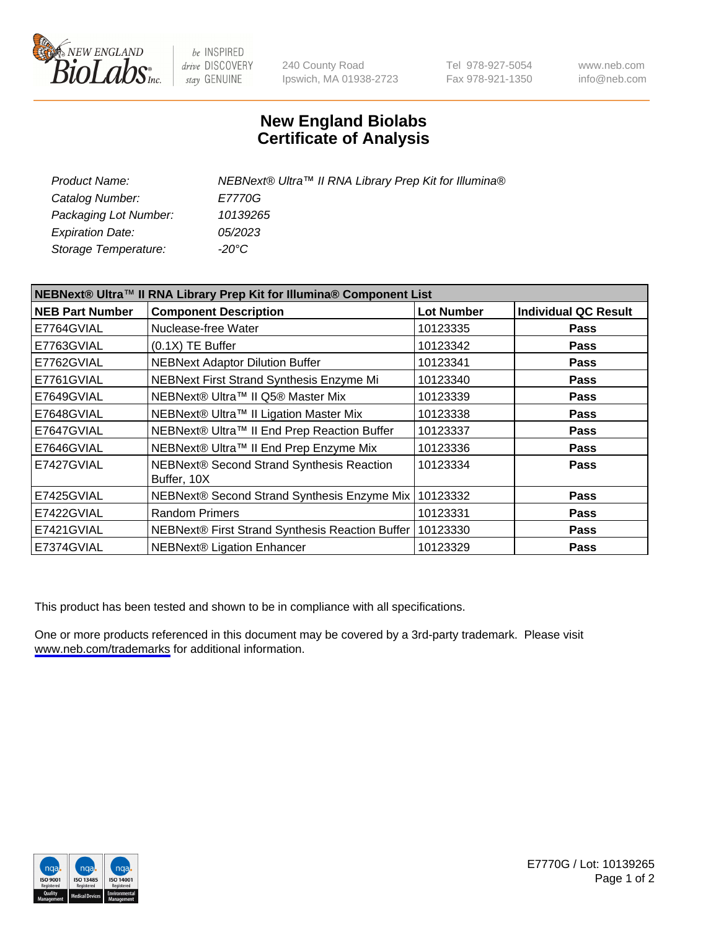

be INSPIRED drive DISCOVERY stay GENUINE

240 County Road Ipswich, MA 01938-2723 Tel 978-927-5054 Fax 978-921-1350

www.neb.com info@neb.com

## **New England Biolabs Certificate of Analysis**

| Product Name:           | NEBNext® Ultra™ II RNA Library Prep Kit for Illumina® |
|-------------------------|-------------------------------------------------------|
| Catalog Number:         | <i>E7770G</i>                                         |
| Packaging Lot Number:   | 10139265                                              |
| <b>Expiration Date:</b> | 05/2023                                               |
| Storage Temperature:    | -20°C                                                 |

| NEBNext® Ultra™ II RNA Library Prep Kit for Illumina® Component List |                                                          |                   |                             |  |
|----------------------------------------------------------------------|----------------------------------------------------------|-------------------|-----------------------------|--|
| <b>NEB Part Number</b>                                               | <b>Component Description</b>                             | <b>Lot Number</b> | <b>Individual QC Result</b> |  |
| E7764GVIAL                                                           | Nuclease-free Water                                      | 10123335          | <b>Pass</b>                 |  |
| E7763GVIAL                                                           | $(0.1X)$ TE Buffer                                       | 10123342          | <b>Pass</b>                 |  |
| E7762GVIAL                                                           | <b>NEBNext Adaptor Dilution Buffer</b>                   | 10123341          | <b>Pass</b>                 |  |
| E7761GVIAL                                                           | NEBNext First Strand Synthesis Enzyme Mi                 | 10123340          | <b>Pass</b>                 |  |
| E7649GVIAL                                                           | NEBNext® Ultra™ II Q5® Master Mix                        | 10123339          | <b>Pass</b>                 |  |
| E7648GVIAL                                                           | NEBNext® Ultra™ II Ligation Master Mix                   | 10123338          | <b>Pass</b>                 |  |
| E7647GVIAL                                                           | NEBNext® Ultra™ II End Prep Reaction Buffer              | 10123337          | <b>Pass</b>                 |  |
| E7646GVIAL                                                           | NEBNext® Ultra™ II End Prep Enzyme Mix                   | 10123336          | <b>Pass</b>                 |  |
| E7427GVIAL                                                           | NEBNext® Second Strand Synthesis Reaction<br>Buffer, 10X | 10123334          | <b>Pass</b>                 |  |
| E7425GVIAL                                                           | NEBNext® Second Strand Synthesis Enzyme Mix              | 10123332          | <b>Pass</b>                 |  |
| E7422GVIAL                                                           | <b>Random Primers</b>                                    | 10123331          | <b>Pass</b>                 |  |
| E7421GVIAL                                                           | NEBNext® First Strand Synthesis Reaction Buffer          | 10123330          | <b>Pass</b>                 |  |
| E7374GVIAL                                                           | <b>NEBNext® Ligation Enhancer</b>                        | 10123329          | <b>Pass</b>                 |  |

This product has been tested and shown to be in compliance with all specifications.

One or more products referenced in this document may be covered by a 3rd-party trademark. Please visit <www.neb.com/trademarks>for additional information.



E7770G / Lot: 10139265 Page 1 of 2